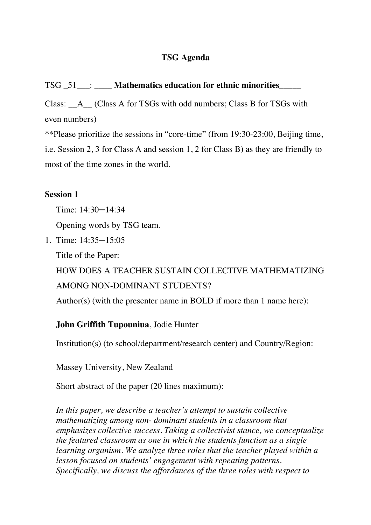## **TSG Agenda**

## TSG \_51\_\_\_: \_\_\_\_ **Mathematics education for ethnic minorities**\_\_\_\_\_

Class: A (Class A for TSGs with odd numbers; Class B for TSGs with even numbers)

\*\*Please prioritize the sessions in "core-time" (from 19:30-23:00, Beijing time, i.e. Session 2, 3 for Class A and session 1, 2 for Class B) as they are friendly to most of the time zones in the world.

## **Session 1**

Time: 14:30─14:34

Opening words by TSG team.

1. Time: 14:35─15:05

Title of the Paper:

HOW DOES A TEACHER SUSTAIN COLLECTIVE MATHEMATIZING AMONG NON-DOMINANT STUDENTS?

Author(s) (with the presenter name in BOLD if more than 1 name here):

## **John Griffith Tupouniua**, Jodie Hunter

Institution(s) (to school/department/research center) and Country/Region:

Massey University, New Zealand

Short abstract of the paper (20 lines maximum):

*In this paper, we describe a teacher's attempt to sustain collective mathematizing among non- dominant students in a classroom that emphasizes collective success. Taking a collectivist stance, we conceptualize the featured classroom as one in which the students function as a single learning organism. We analyze three roles that the teacher played within a lesson focused on students' engagement with repeating patterns. Specifically, we discuss the affordances of the three roles with respect to*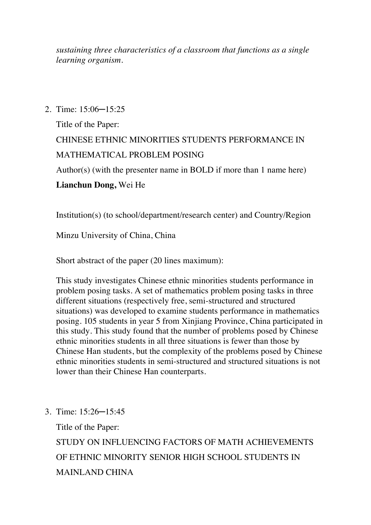*sustaining three characteristics of a classroom that functions as a single learning organism.* 

2. Time: 15:06─15:25

Title of the Paper: CHINESE ETHNIC MINORITIES STUDENTS PERFORMANCE IN MATHEMATICAL PROBLEM POSING Author(s) (with the presenter name in BOLD if more than 1 name here)

## **Lianchun Dong,** Wei He

Institution(s) (to school/department/research center) and Country/Region

Minzu University of China, China

Short abstract of the paper (20 lines maximum):

This study investigates Chinese ethnic minorities students performance in problem posing tasks. A set of mathematics problem posing tasks in three different situations (respectively free, semi-structured and structured situations) was developed to examine students performance in mathematics posing. 105 students in year 5 from Xinjiang Province, China participated in this study. This study found that the number of problems posed by Chinese ethnic minorities students in all three situations is fewer than those by Chinese Han students, but the complexity of the problems posed by Chinese ethnic minorities students in semi-structured and structured situations is not lower than their Chinese Han counterparts.

3. Time: 15:26─15:45

Title of the Paper:

STUDY ON INFLUENCING FACTORS OF MATH ACHIEVEMENTS OF ETHNIC MINORITY SENIOR HIGH SCHOOL STUDENTS IN MAINLAND CHINA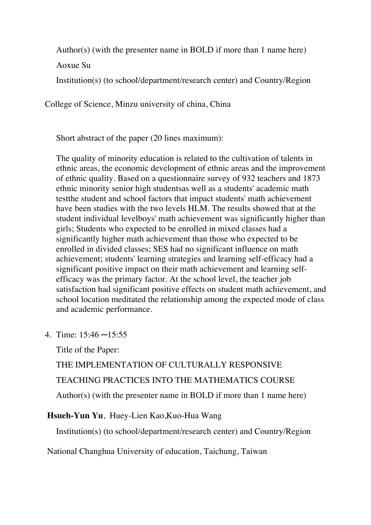Author(s) (with the presenter name in BOLD if more than 1 name here)

Aoxue Su

Institution(s) (to school/department/research center) and Country/Region

College of Science, Minzu university of china, China

Short abstract of the paper (20 lines maximum):

The quality of minority education is related to the cultivation of talents in ethnic areas, the economic development of ethnic areas and the improvement of ethnic quality. Based on a questionnaire survey of 932 teachers and 1873 ethnic minority senior high studentsas well as a students' academic math testthe student and school factors that impact students' math achievement have been studies with the two levels HLM. The results showed that at the student individual levelboys' math achievement was significantly higher than girls; Students who expected to be enrolled in mixed classes had a significantly higher math achievement than those who expected to be enrolled in divided classes; SES had no significant influence on math achievement; students' learning strategies and learning self-efficacy had a significant positive impact on their math achievement and learning selfefficacy was the primary factor. At the school level, the teacher job satisfaction had significant positive effects on student math achievement, and school location meditated the relationship among the expected mode of class and academic performance.

4. Time: 15:46 ─15:55

Title of the Paper:

THE IMPLEMENTATION OF CULTURALLY RESPONSIVE TEACHING PRACTICES INTO THE MATHEMATICS COURSE Author(s) (with the presenter name in BOLD if more than 1 name here)

## **Hsueh-Yun Yu**, Huey-Lien Kao,Kuo-Hua Wang

Institution(s) (to school/department/research center) and Country/Region

National Changhua University of education, Taichung, Taiwan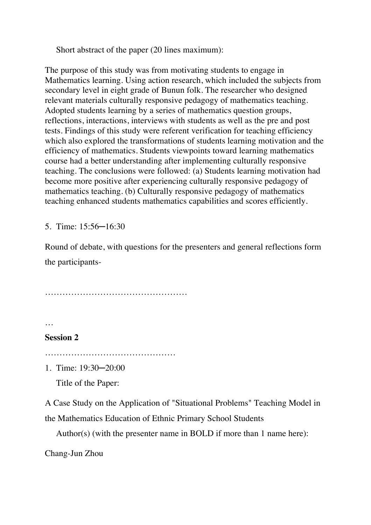Short abstract of the paper (20 lines maximum):

The purpose of this study was from motivating students to engage in Mathematics learning. Using action research, which included the subjects from secondary level in eight grade of Bunun folk. The researcher who designed relevant materials culturally responsive pedagogy of mathematics teaching. Adopted students learning by a series of mathematics question groups, reflections, interactions, interviews with students as well as the pre and post tests. Findings of this study were referent verification for teaching efficiency which also explored the transformations of students learning motivation and the efficiency of mathematics. Students viewpoints toward learning mathematics course had a better understanding after implementing culturally responsive teaching. The conclusions were followed: (a) Students learning motivation had become more positive after experiencing culturally responsive pedagogy of mathematics teaching. (b) Culturally responsive pedagogy of mathematics teaching enhanced students mathematics capabilities and scores efficiently.

5. Time: 15:56─16:30

Round of debate, with questions for the presenters and general reflections form the participants-

………………………………………….

…

#### **Session 2**

………………………………………

1. Time: 19:30─20:00

Title of the Paper:

A Case Study on the Application of "Situational Problems" Teaching Model in

the Mathematics Education of Ethnic Primary School Students

Author(s) (with the presenter name in BOLD if more than 1 name here):

Chang-Jun Zhou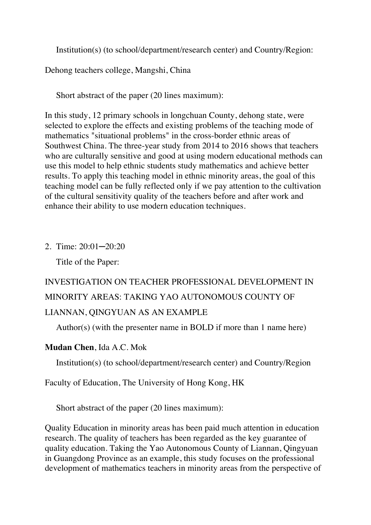Institution(s) (to school/department/research center) and Country/Region:

Dehong teachers college, Mangshi, China

Short abstract of the paper (20 lines maximum):

In this study, 12 primary schools in longchuan County, dehong state, were selected to explore the effects and existing problems of the teaching mode of mathematics "situational problems" in the cross-border ethnic areas of Southwest China. The three-year study from 2014 to 2016 shows that teachers who are culturally sensitive and good at using modern educational methods can use this model to help ethnic students study mathematics and achieve better results. To apply this teaching model in ethnic minority areas, the goal of this teaching model can be fully reflected only if we pay attention to the cultivation of the cultural sensitivity quality of the teachers before and after work and enhance their ability to use modern education techniques.

2. Time: 20:01─20:20

Title of the Paper:

# INVESTIGATION ON TEACHER PROFESSIONAL DEVELOPMENT IN MINORITY AREAS: TAKING YAO AUTONOMOUS COUNTY OF LIANNAN, QINGYUAN AS AN EXAMPLE

Author(s) (with the presenter name in BOLD if more than 1 name here)

**Mudan Chen**, Ida A.C. Mok

Institution(s) (to school/department/research center) and Country/Region

Faculty of Education, The University of Hong Kong, HK

Short abstract of the paper (20 lines maximum):

Quality Education in minority areas has been paid much attention in education research. The quality of teachers has been regarded as the key guarantee of quality education. Taking the Yao Autonomous County of Liannan, Qingyuan in Guangdong Province as an example, this study focuses on the professional development of mathematics teachers in minority areas from the perspective of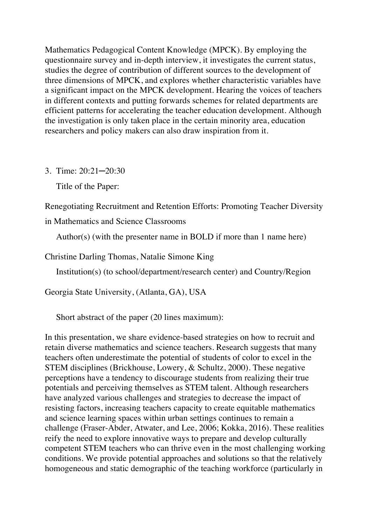Mathematics Pedagogical Content Knowledge (MPCK). By employing the questionnaire survey and in-depth interview, it investigates the current status, studies the degree of contribution of different sources to the development of three dimensions of MPCK, and explores whether characteristic variables have a significant impact on the MPCK development. Hearing the voices of teachers in different contexts and putting forwards schemes for related departments are efficient patterns for accelerating the teacher education development. Although the investigation is only taken place in the certain minority area, education researchers and policy makers can also draw inspiration from it.

3. Time: 20:21─20:30

Title of the Paper:

Renegotiating Recruitment and Retention Efforts: Promoting Teacher Diversity

in Mathematics and Science Classrooms

Author(s) (with the presenter name in BOLD if more than 1 name here)

Christine Darling Thomas, Natalie Simone King

Institution(s) (to school/department/research center) and Country/Region

Georgia State University, (Atlanta, GA), USA

Short abstract of the paper (20 lines maximum):

In this presentation, we share evidence-based strategies on how to recruit and retain diverse mathematics and science teachers. Research suggests that many teachers often underestimate the potential of students of color to excel in the STEM disciplines (Brickhouse, Lowery, & Schultz, 2000). These negative perceptions have a tendency to discourage students from realizing their true potentials and perceiving themselves as STEM talent. Although researchers have analyzed various challenges and strategies to decrease the impact of resisting factors, increasing teachers capacity to create equitable mathematics and science learning spaces within urban settings continues to remain a challenge (Fraser-Abder, Atwater, and Lee, 2006; Kokka, 2016). These realities reify the need to explore innovative ways to prepare and develop culturally competent STEM teachers who can thrive even in the most challenging working conditions. We provide potential approaches and solutions so that the relatively homogeneous and static demographic of the teaching workforce (particularly in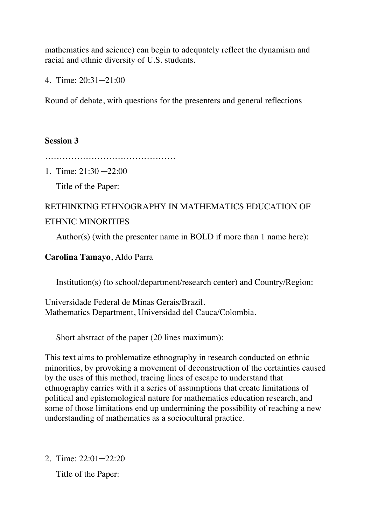mathematics and science) can begin to adequately reflect the dynamism and racial and ethnic diversity of U.S. students.

4. Time: 20:31─21:00

Round of debate, with questions for the presenters and general reflections

## **Session 3**

………………………………………

1. Time: 21:30 ─22:00

Title of the Paper:

## RETHINKING ETHNOGRAPHY IN MATHEMATICS EDUCATION OF ETHNIC MINORITIES

Author(s) (with the presenter name in BOLD if more than 1 name here):

#### **Carolina Tamayo**, Aldo Parra

Institution(s) (to school/department/research center) and Country/Region:

Universidade Federal de Minas Gerais/Brazil. Mathematics Department, Universidad del Cauca/Colombia.

Short abstract of the paper (20 lines maximum):

This text aims to problematize ethnography in research conducted on ethnic minorities, by provoking a movement of deconstruction of the certainties caused by the uses of this method, tracing lines of escape to understand that ethnography carries with it a series of assumptions that create limitations of political and epistemological nature for mathematics education research, and some of those limitations end up undermining the possibility of reaching a new understanding of mathematics as a sociocultural practice.

2. Time: 22:01─22:20

Title of the Paper: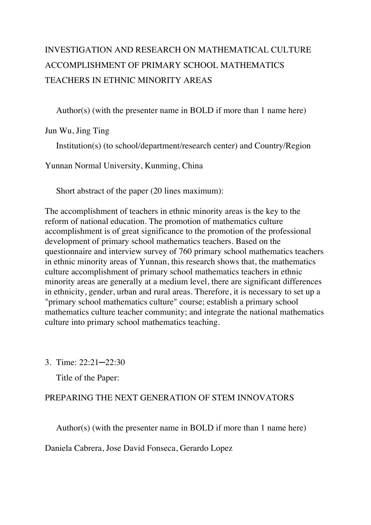# INVESTIGATION AND RESEARCH ON MATHEMATICAL CULTURE ACCOMPLISHMENT OF PRIMARY SCHOOL MATHEMATICS TEACHERS IN ETHNIC MINORITY AREAS

Author(s) (with the presenter name in BOLD if more than 1 name here)

Jun Wu, Jing Ting

Institution(s) (to school/department/research center) and Country/Region

Yunnan Normal University, Kunming, China

Short abstract of the paper (20 lines maximum):

The accomplishment of teachers in ethnic minority areas is the key to the reform of national education. The promotion of mathematics culture accomplishment is of great significance to the promotion of the professional development of primary school mathematics teachers. Based on the questionnaire and interview survey of 760 primary school mathematics teachers in ethnic minority areas of Yunnan, this research shows that, the mathematics culture accomplishment of primary school mathematics teachers in ethnic minority areas are generally at a medium level, there are significant differences in ethnicity, gender, urban and rural areas. Therefore, it is necessary to set up a "primary school mathematics culture" course; establish a primary school mathematics culture teacher community; and integrate the national mathematics culture into primary school mathematics teaching.

3. Time: 22:21─22:30

Title of the Paper:

## PREPARING THE NEXT GENERATION OF STEM INNOVATORS

Author(s) (with the presenter name in BOLD if more than 1 name here)

Daniela Cabrera, Jose David Fonseca, Gerardo Lopez